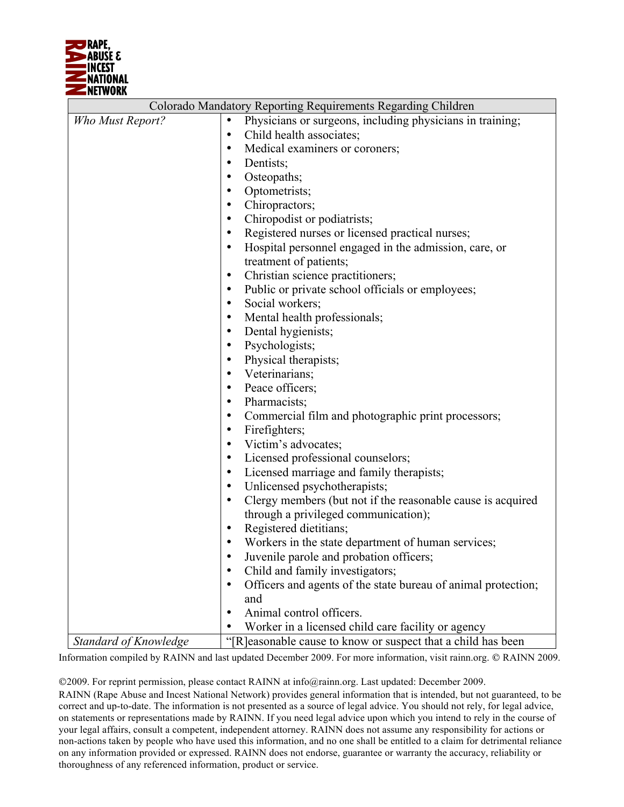

|                       | Colorado Mandatory Reporting Requirements Regarding Children           |
|-----------------------|------------------------------------------------------------------------|
| Who Must Report?      | Physicians or surgeons, including physicians in training;<br>$\bullet$ |
|                       | Child health associates;<br>$\bullet$                                  |
|                       | Medical examiners or coroners;                                         |
|                       | Dentists;                                                              |
|                       | Osteopaths;                                                            |
|                       | Optometrists;                                                          |
|                       | Chiropractors;                                                         |
|                       | Chiropodist or podiatrists;                                            |
|                       | Registered nurses or licensed practical nurses;                        |
|                       | Hospital personnel engaged in the admission, care, or                  |
|                       | treatment of patients;                                                 |
|                       | Christian science practitioners;<br>$\bullet$                          |
|                       | Public or private school officials or employees;                       |
|                       | Social workers;                                                        |
|                       | Mental health professionals;                                           |
|                       | Dental hygienists;                                                     |
|                       | Psychologists;                                                         |
|                       | Physical therapists;                                                   |
|                       | Veterinarians;                                                         |
|                       | Peace officers;                                                        |
|                       | Pharmacists;<br>٠                                                      |
|                       | Commercial film and photographic print processors;                     |
|                       | Firefighters;                                                          |
|                       | Victim's advocates;                                                    |
|                       | Licensed professional counselors;                                      |
|                       | Licensed marriage and family therapists;                               |
|                       | Unlicensed psychotherapists;                                           |
|                       | Clergy members (but not if the reasonable cause is acquired            |
|                       | through a privileged communication);                                   |
|                       | Registered dietitians;                                                 |
|                       | Workers in the state department of human services;                     |
|                       | Juvenile parole and probation officers;                                |
|                       | Child and family investigators;                                        |
|                       | Officers and agents of the state bureau of animal protection;          |
|                       | and                                                                    |
|                       | Animal control officers.<br>$\bullet$                                  |
|                       | Worker in a licensed child care facility or agency                     |
| Standard of Knowledge | "[R] easonable cause to know or suspect that a child has been          |

Information compiled by RAINN and last updated December 2009. For more information, visit rainn.org. © RAINN 2009.

2009. For reprint permission, please contact RAINN at info@rainn.org. Last updated: December 2009.

RAINN (Rape Abuse and Incest National Network) provides general information that is intended, but not guaranteed, to be correct and up-to-date. The information is not presented as a source of legal advice. You should not rely, for legal advice, on statements or representations made by RAINN. If you need legal advice upon which you intend to rely in the course of your legal affairs, consult a competent, independent attorney. RAINN does not assume any responsibility for actions or non-actions taken by people who have used this information, and no one shall be entitled to a claim for detrimental reliance on any information provided or expressed. RAINN does not endorse, guarantee or warranty the accuracy, reliability or thoroughness of any referenced information, product or service.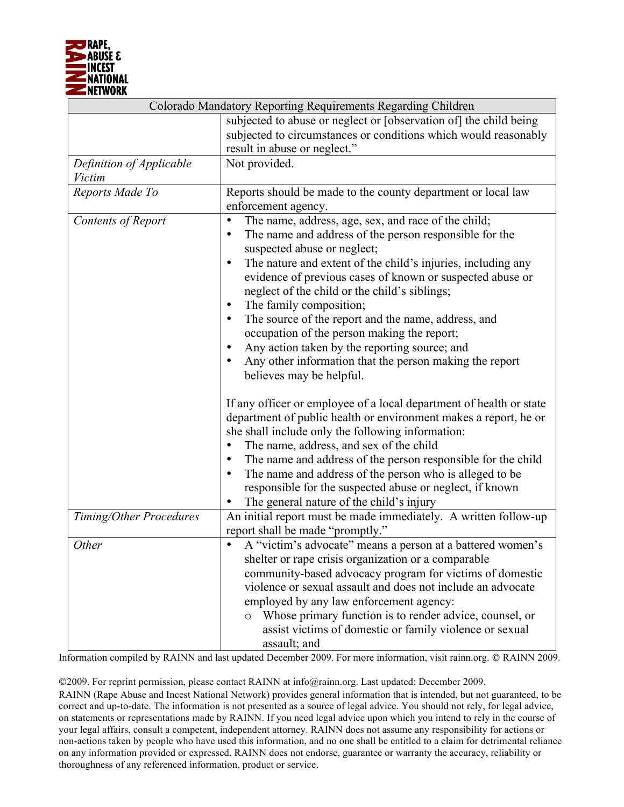

| Colorado Mandatory Reporting Requirements Regarding Children |                                                                                                                                                                                                                                                                                                                                                                                                                                                                                                                                                                                                                    |
|--------------------------------------------------------------|--------------------------------------------------------------------------------------------------------------------------------------------------------------------------------------------------------------------------------------------------------------------------------------------------------------------------------------------------------------------------------------------------------------------------------------------------------------------------------------------------------------------------------------------------------------------------------------------------------------------|
|                                                              | subjected to abuse or neglect or [observation of] the child being<br>subjected to circumstances or conditions which would reasonably<br>result in abuse or neglect."                                                                                                                                                                                                                                                                                                                                                                                                                                               |
| Definition of Applicable<br>Victim                           | Not provided.                                                                                                                                                                                                                                                                                                                                                                                                                                                                                                                                                                                                      |
| Reports Made To                                              | Reports should be made to the county department or local law<br>enforcement agency.                                                                                                                                                                                                                                                                                                                                                                                                                                                                                                                                |
| Contents of Report                                           | The name, address, age, sex, and race of the child;<br>٠<br>The name and address of the person responsible for the<br>suspected abuse or neglect;<br>The nature and extent of the child's injuries, including any<br>٠<br>evidence of previous cases of known or suspected abuse or<br>neglect of the child or the child's siblings;<br>The family composition;<br>٠<br>The source of the report and the name, address, and<br>occupation of the person making the report;<br>Any action taken by the reporting source; and<br>Any other information that the person making the report<br>believes may be helpful. |
|                                                              | If any officer or employee of a local department of health or state<br>department of public health or environment makes a report, he or<br>she shall include only the following information:<br>The name, address, and sex of the child<br>The name and address of the person responsible for the child<br>The name and address of the person who is alleged to be<br>responsible for the suspected abuse or neglect, if known<br>The general nature of the child's injury                                                                                                                                         |
| Timing/Other Procedures                                      | An initial report must be made immediately. A written follow-up<br>report shall be made "promptly."                                                                                                                                                                                                                                                                                                                                                                                                                                                                                                                |
| Other                                                        | A "victim's advocate" means a person at a battered women's<br>shelter or rape crisis organization or a comparable<br>community-based advocacy program for victims of domestic<br>violence or sexual assault and does not include an advocate<br>employed by any law enforcement agency:<br>Whose primary function is to render advice, counsel, or<br>$\circ$<br>assist victims of domestic or family violence or sexual<br>assault; and                                                                                                                                                                           |

Information compiled by RAINN and last updated December 2009. For more information, visit rainn.org. © RAINN 2009.

2009. For reprint permission, please contact RAINN at info@rainn.org. Last updated: December 2009.

RAINN (Rape Abuse and Incest National Network) provides general information that is intended, but not guaranteed, to be correct and up-to-date. The information is not presented as a source of legal advice. You should not rely, for legal advice, on statements or representations made by RAINN. If you need legal advice upon which you intend to rely in the course of your legal affairs, consult a competent, independent attorney. RAINN does not assume any responsibility for actions or non-actions taken by people who have used this information, and no one shall be entitled to a claim for detrimental reliance on any information provided or expressed. RAINN does not endorse, guarantee or warranty the accuracy, reliability or thoroughness of any referenced information, product or service.